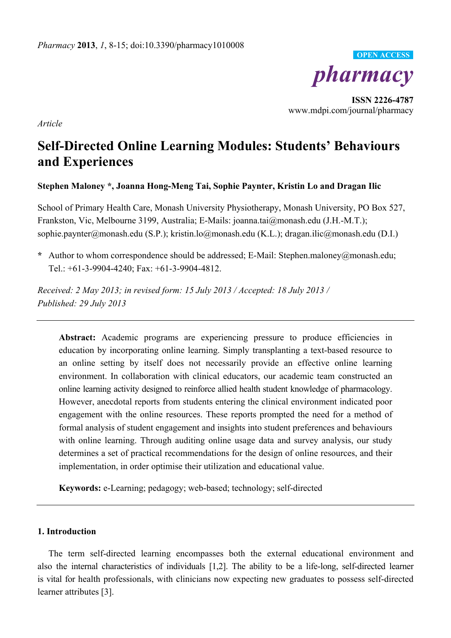

**ISSN 2226-4787**  www.mdpi.com/journal/pharmacy

*Article* 

# **Self-Directed Online Learning Modules: Students' Behaviours and Experiences**

**Stephen Maloney \*, Joanna Hong-Meng Tai, Sophie Paynter, Kristin Lo and Dragan Ilic** 

School of Primary Health Care, Monash University Physiotherapy, Monash University, PO Box 527, Frankston, Vic, Melbourne 3199, Australia; E-Mails: joanna.tai@monash.edu (J.H.-M.T.); sophie.paynter@monash.edu (S.P.); kristin.lo@monash.edu (K.L.); dragan.ilic@monash.edu (D.I.)

**\*** Author to whom correspondence should be addressed; E-Mail: Stephen.maloney@monash.edu; Tel.: +61-3-9904-4240; Fax: +61-3-9904-4812.

*Received: 2 May 2013; in revised form: 15 July 2013 / Accepted: 18 July 2013 / Published: 29 July 2013* 

**Abstract:** Academic programs are experiencing pressure to produce efficiencies in education by incorporating online learning. Simply transplanting a text-based resource to an online setting by itself does not necessarily provide an effective online learning environment. In collaboration with clinical educators, our academic team constructed an online learning activity designed to reinforce allied health student knowledge of pharmacology. However, anecdotal reports from students entering the clinical environment indicated poor engagement with the online resources. These reports prompted the need for a method of formal analysis of student engagement and insights into student preferences and behaviours with online learning. Through auditing online usage data and survey analysis, our study determines a set of practical recommendations for the design of online resources, and their implementation, in order optimise their utilization and educational value.

**Keywords:** e-Learning; pedagogy; web-based; technology; self-directed

## **1. Introduction**

The term self-directed learning encompasses both the external educational environment and also the internal characteristics of individuals [1,2]. The ability to be a life-long, self-directed learner is vital for health professionals, with clinicians now expecting new graduates to possess self-directed learner attributes [3].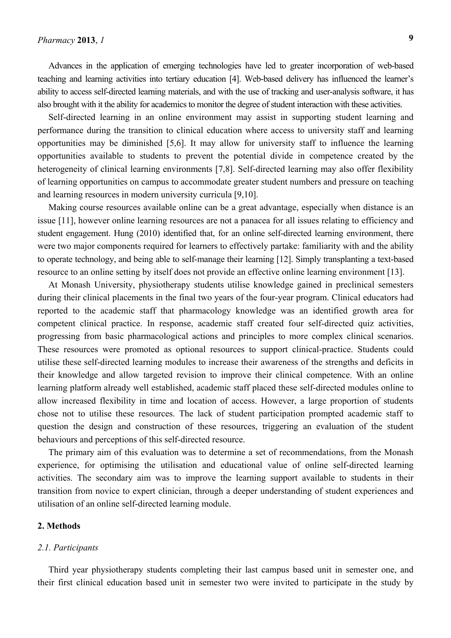Advances in the application of emerging technologies have led to greater incorporation of web-based teaching and learning activities into tertiary education [4]. Web-based delivery has influenced the learner's ability to access self-directed learning materials, and with the use of tracking and user-analysis software, it has also brought with it the ability for academics to monitor the degree of student interaction with these activities.

Self-directed learning in an online environment may assist in supporting student learning and performance during the transition to clinical education where access to university staff and learning opportunities may be diminished [5,6]. It may allow for university staff to influence the learning opportunities available to students to prevent the potential divide in competence created by the heterogeneity of clinical learning environments [7,8]. Self-directed learning may also offer flexibility of learning opportunities on campus to accommodate greater student numbers and pressure on teaching and learning resources in modern university curricula [9,10].

Making course resources available online can be a great advantage, especially when distance is an issue [11], however online learning resources are not a panacea for all issues relating to efficiency and student engagement. Hung (2010) identified that, for an online self-directed learning environment, there were two major components required for learners to effectively partake: familiarity with and the ability to operate technology, and being able to self-manage their learning [12]. Simply transplanting a text-based resource to an online setting by itself does not provide an effective online learning environment [13].

At Monash University, physiotherapy students utilise knowledge gained in preclinical semesters during their clinical placements in the final two years of the four-year program. Clinical educators had reported to the academic staff that pharmacology knowledge was an identified growth area for competent clinical practice. In response, academic staff created four self-directed quiz activities, progressing from basic pharmacological actions and principles to more complex clinical scenarios. These resources were promoted as optional resources to support clinical-practice. Students could utilise these self-directed learning modules to increase their awareness of the strengths and deficits in their knowledge and allow targeted revision to improve their clinical competence. With an online learning platform already well established, academic staff placed these self-directed modules online to allow increased flexibility in time and location of access. However, a large proportion of students chose not to utilise these resources. The lack of student participation prompted academic staff to question the design and construction of these resources, triggering an evaluation of the student behaviours and perceptions of this self-directed resource.

The primary aim of this evaluation was to determine a set of recommendations, from the Monash experience, for optimising the utilisation and educational value of online self-directed learning activities. The secondary aim was to improve the learning support available to students in their transition from novice to expert clinician, through a deeper understanding of student experiences and utilisation of an online self-directed learning module.

## **2. Methods**

#### *2.1. Participants*

Third year physiotherapy students completing their last campus based unit in semester one, and their first clinical education based unit in semester two were invited to participate in the study by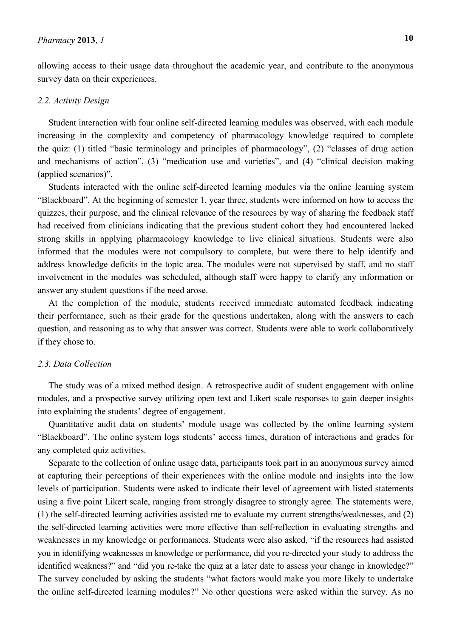allowing access to their usage data throughout the academic year, and contribute to the anonymous survey data on their experiences.

## *2.2. Activity Design*

Student interaction with four online self-directed learning modules was observed, with each module increasing in the complexity and competency of pharmacology knowledge required to complete the quiz: (1) titled "basic terminology and principles of pharmacology", (2) "classes of drug action and mechanisms of action", (3) "medication use and varieties", and (4) "clinical decision making (applied scenarios)".

Students interacted with the online self-directed learning modules via the online learning system "Blackboard". At the beginning of semester 1, year three, students were informed on how to access the quizzes, their purpose, and the clinical relevance of the resources by way of sharing the feedback staff had received from clinicians indicating that the previous student cohort they had encountered lacked strong skills in applying pharmacology knowledge to live clinical situations. Students were also informed that the modules were not compulsory to complete, but were there to help identify and address knowledge deficits in the topic area. The modules were not supervised by staff, and no staff involvement in the modules was scheduled, although staff were happy to clarify any information or answer any student questions if the need arose.

At the completion of the module, students received immediate automated feedback indicating their performance, such as their grade for the questions undertaken, along with the answers to each question, and reasoning as to why that answer was correct. Students were able to work collaboratively if they chose to.

#### *2.3. Data Collection*

The study was of a mixed method design. A retrospective audit of student engagement with online modules, and a prospective survey utilizing open text and Likert scale responses to gain deeper insights into explaining the students' degree of engagement.

Quantitative audit data on students' module usage was collected by the online learning system "Blackboard". The online system logs students' access times, duration of interactions and grades for any completed quiz activities.

Separate to the collection of online usage data, participants took part in an anonymous survey aimed at capturing their perceptions of their experiences with the online module and insights into the low levels of participation. Students were asked to indicate their level of agreement with listed statements using a five point Likert scale, ranging from strongly disagree to strongly agree. The statements were, (1) the self-directed learning activities assisted me to evaluate my current strengths/weaknesses, and (2) the self-directed learning activities were more effective than self-reflection in evaluating strengths and weaknesses in my knowledge or performances. Students were also asked, "if the resources had assisted you in identifying weaknesses in knowledge or performance, did you re-directed your study to address the identified weakness?" and "did you re-take the quiz at a later date to assess your change in knowledge?" The survey concluded by asking the students "what factors would make you more likely to undertake the online self-directed learning modules?" No other questions were asked within the survey. As no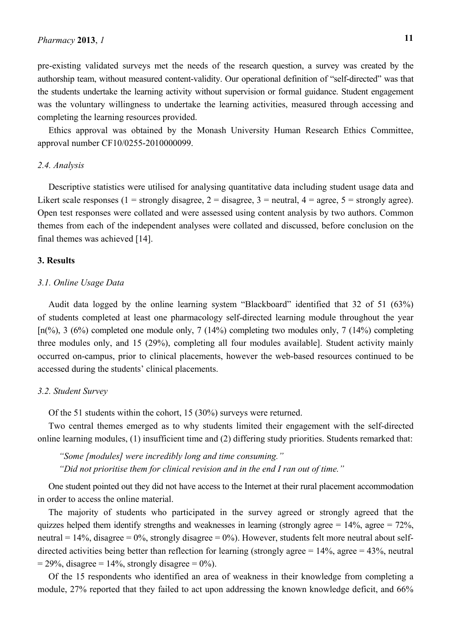pre-existing validated surveys met the needs of the research question, a survey was created by the authorship team, without measured content-validity. Our operational definition of "self-directed" was that the students undertake the learning activity without supervision or formal guidance. Student engagement was the voluntary willingness to undertake the learning activities, measured through accessing and completing the learning resources provided.

Ethics approval was obtained by the Monash University Human Research Ethics Committee, approval number CF10/0255-2010000099.

#### *2.4. Analysis*

Descriptive statistics were utilised for analysing quantitative data including student usage data and Likert scale responses (1 = strongly disagree, 2 = disagree, 3 = neutral, 4 = agree, 5 = strongly agree). Open test responses were collated and were assessed using content analysis by two authors. Common themes from each of the independent analyses were collated and discussed, before conclusion on the final themes was achieved [14].

### **3. Results**

## *3.1. Online Usage Data*

Audit data logged by the online learning system "Blackboard" identified that 32 of 51 (63%) of students completed at least one pharmacology self-directed learning module throughout the year  $[n(\%)$ , 3 (6%) completed one module only, 7 (14%) completing two modules only, 7 (14%) completing three modules only, and 15 (29%), completing all four modules available]. Student activity mainly occurred on-campus, prior to clinical placements, however the web-based resources continued to be accessed during the students' clinical placements.

#### *3.2. Student Survey*

Of the 51 students within the cohort, 15 (30%) surveys were returned.

Two central themes emerged as to why students limited their engagement with the self-directed online learning modules, (1) insufficient time and (2) differing study priorities. Students remarked that:

*"Some [modules] were incredibly long and time consuming." "Did not prioritise them for clinical revision and in the end I ran out of time."* 

One student pointed out they did not have access to the Internet at their rural placement accommodation in order to access the online material.

The majority of students who participated in the survey agreed or strongly agreed that the quizzes helped them identify strengths and weaknesses in learning (strongly agree =  $14\%$ , agree =  $72\%$ , neutral  $= 14\%$ , disagree  $= 0\%$ , strongly disagree  $= 0\%$ ). However, students felt more neutral about selfdirected activities being better than reflection for learning (strongly agree  $= 14\%$ , agree  $= 43\%$ , neutral  $= 29\%$ , disagree  $= 14\%$ , strongly disagree  $= 0\%$ ).

Of the 15 respondents who identified an area of weakness in their knowledge from completing a module, 27% reported that they failed to act upon addressing the known knowledge deficit, and 66%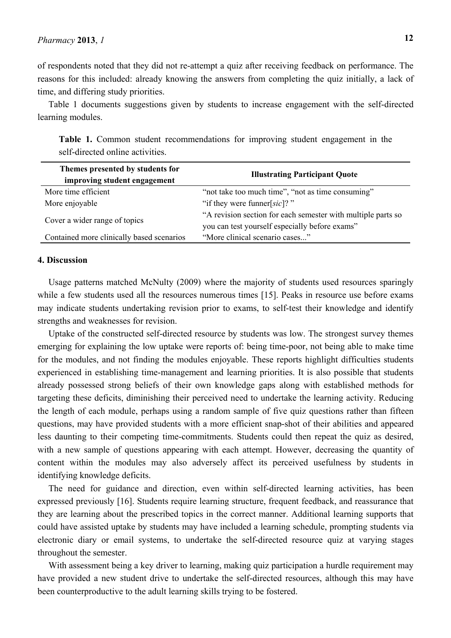of respondents noted that they did not re-attempt a quiz after receiving feedback on performance. The reasons for this included: already knowing the answers from completing the quiz initially, a lack of time, and differing study priorities.

Table 1 documents suggestions given by students to increase engagement with the self-directed learning modules.

**Table 1.** Common student recommendations for improving student engagement in the self-directed online activities.

| Themes presented by students for<br>improving student engagement | <b>Illustrating Participant Quote</b>                                                                          |
|------------------------------------------------------------------|----------------------------------------------------------------------------------------------------------------|
| More time efficient                                              | "not take too much time", "not as time consuming"                                                              |
| More enjoyable                                                   | "if they were funner[ $sic$ ]?"                                                                                |
| Cover a wider range of topics                                    | "A revision section for each semester with multiple parts so<br>you can test yourself especially before exams" |
| Contained more clinically based scenarios                        | "More clinical scenario cases"                                                                                 |

### **4. Discussion**

Usage patterns matched McNulty (2009) where the majority of students used resources sparingly while a few students used all the resources numerous times [15]. Peaks in resource use before exams may indicate students undertaking revision prior to exams, to self-test their knowledge and identify strengths and weaknesses for revision.

Uptake of the constructed self-directed resource by students was low. The strongest survey themes emerging for explaining the low uptake were reports of: being time-poor, not being able to make time for the modules, and not finding the modules enjoyable. These reports highlight difficulties students experienced in establishing time-management and learning priorities. It is also possible that students already possessed strong beliefs of their own knowledge gaps along with established methods for targeting these deficits, diminishing their perceived need to undertake the learning activity. Reducing the length of each module, perhaps using a random sample of five quiz questions rather than fifteen questions, may have provided students with a more efficient snap-shot of their abilities and appeared less daunting to their competing time-commitments. Students could then repeat the quiz as desired, with a new sample of questions appearing with each attempt. However, decreasing the quantity of content within the modules may also adversely affect its perceived usefulness by students in identifying knowledge deficits.

The need for guidance and direction, even within self-directed learning activities, has been expressed previously [16]. Students require learning structure, frequent feedback, and reassurance that they are learning about the prescribed topics in the correct manner. Additional learning supports that could have assisted uptake by students may have included a learning schedule, prompting students via electronic diary or email systems, to undertake the self-directed resource quiz at varying stages throughout the semester.

With assessment being a key driver to learning, making quiz participation a hurdle requirement may have provided a new student drive to undertake the self-directed resources, although this may have been counterproductive to the adult learning skills trying to be fostered.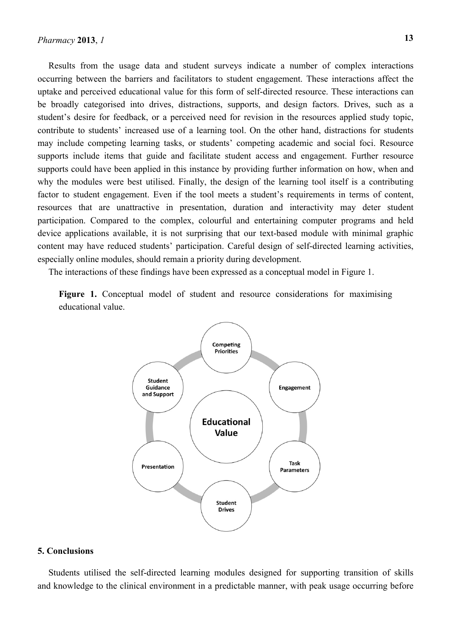Results from the usage data and student surveys indicate a number of complex interactions occurring between the barriers and facilitators to student engagement. These interactions affect the uptake and perceived educational value for this form of self-directed resource. These interactions can be broadly categorised into drives, distractions, supports, and design factors. Drives, such as a student's desire for feedback, or a perceived need for revision in the resources applied study topic, contribute to students' increased use of a learning tool. On the other hand, distractions for students may include competing learning tasks, or students' competing academic and social foci. Resource supports include items that guide and facilitate student access and engagement. Further resource supports could have been applied in this instance by providing further information on how, when and why the modules were best utilised. Finally, the design of the learning tool itself is a contributing factor to student engagement. Even if the tool meets a student's requirements in terms of content, resources that are unattractive in presentation, duration and interactivity may deter student participation. Compared to the complex, colourful and entertaining computer programs and held device applications available, it is not surprising that our text-based module with minimal graphic content may have reduced students' participation. Careful design of self-directed learning activities, especially online modules, should remain a priority during development.

The interactions of these findings have been expressed as a conceptual model in Figure 1.

Figure 1. Conceptual model of student and resource considerations for maximising educational value.



#### **5. Conclusions**

Students utilised the self-directed learning modules designed for supporting transition of skills and knowledge to the clinical environment in a predictable manner, with peak usage occurring before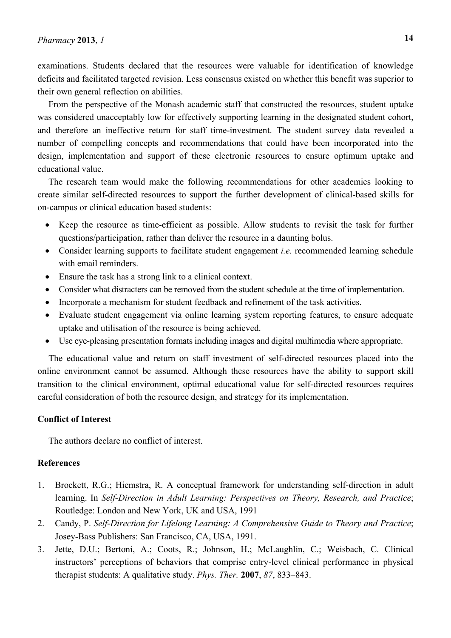examinations. Students declared that the resources were valuable for identification of knowledge deficits and facilitated targeted revision. Less consensus existed on whether this benefit was superior to their own general reflection on abilities.

From the perspective of the Monash academic staff that constructed the resources, student uptake was considered unacceptably low for effectively supporting learning in the designated student cohort, and therefore an ineffective return for staff time-investment. The student survey data revealed a number of compelling concepts and recommendations that could have been incorporated into the design, implementation and support of these electronic resources to ensure optimum uptake and educational value.

The research team would make the following recommendations for other academics looking to create similar self-directed resources to support the further development of clinical-based skills for on-campus or clinical education based students:

- Keep the resource as time-efficient as possible. Allow students to revisit the task for further questions/participation, rather than deliver the resource in a daunting bolus.
- Consider learning supports to facilitate student engagement *i.e.* recommended learning schedule with email reminders.
- Ensure the task has a strong link to a clinical context.
- Consider what distracters can be removed from the student schedule at the time of implementation.
- Incorporate a mechanism for student feedback and refinement of the task activities.
- Evaluate student engagement via online learning system reporting features, to ensure adequate uptake and utilisation of the resource is being achieved.
- Use eye-pleasing presentation formats including images and digital multimedia where appropriate.

The educational value and return on staff investment of self-directed resources placed into the online environment cannot be assumed. Although these resources have the ability to support skill transition to the clinical environment, optimal educational value for self-directed resources requires careful consideration of both the resource design, and strategy for its implementation.

## **Conflict of Interest**

The authors declare no conflict of interest.

# **References**

- 1. Brockett, R.G.; Hiemstra, R. A conceptual framework for understanding self-direction in adult learning. In *Self-Direction in Adult Learning: Perspectives on Theory, Research, and Practice*; Routledge: London and New York, UK and USA, 1991
- 2. Candy, P. *Self-Direction for Lifelong Learning: A Comprehensive Guide to Theory and Practice*; Josey-Bass Publishers: San Francisco, CA, USA, 1991.
- 3. Jette, D.U.; Bertoni, A.; Coots, R.; Johnson, H.; McLaughlin, C.; Weisbach, C. Clinical instructors' perceptions of behaviors that comprise entry-level clinical performance in physical therapist students: A qualitative study. *Phys. Ther.* **2007**, *87*, 833–843.